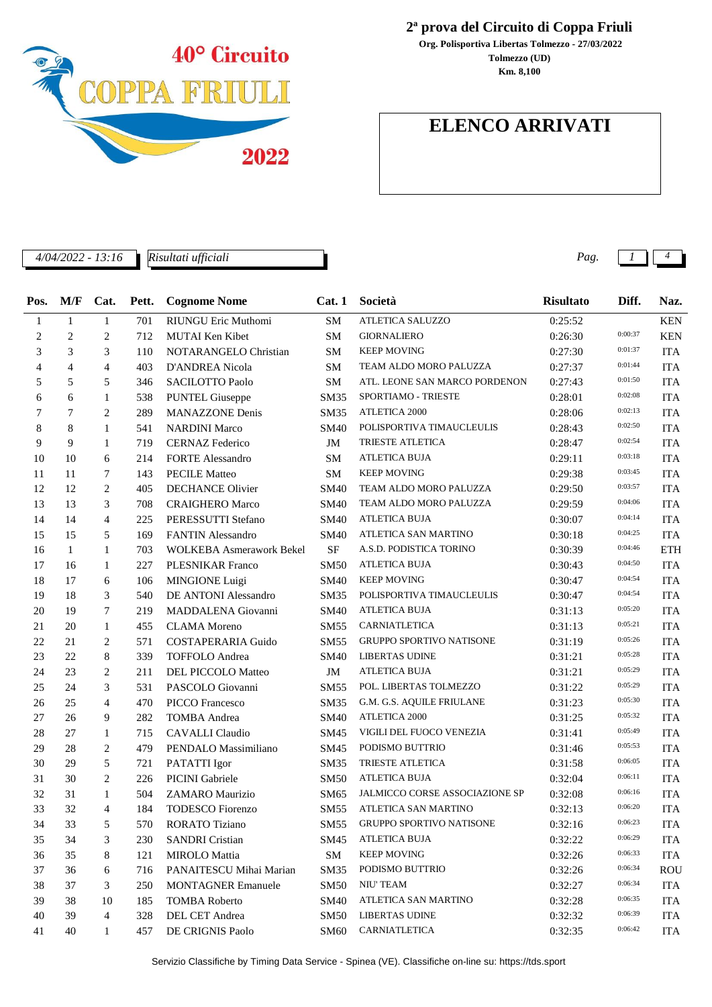

*Risultati ufficiali*

## **2ª prova del Circuito di Coppa Friuli**

**Tolmezzo (UD) Org. Polisportiva Libertas Tolmezzo - 27/03/2022 Km. 8,100**

# **ELENCO ARRIVATI**

*4/04/2022 - 13:16 Pag. 1 4*

| Pos.           | M/F            | Cat.           | Pett. | <b>Cognome Nome</b>             | Cat.1       | Società                         | <b>Risultato</b> | Diff.   | Naz.       |
|----------------|----------------|----------------|-------|---------------------------------|-------------|---------------------------------|------------------|---------|------------|
| 1              | $\mathbf{1}$   | $\mathbf{1}$   | 701   | <b>RIUNGU Eric Muthomi</b>      | <b>SM</b>   | ATLETICA SALUZZO                | 0:25:52          |         | <b>KEN</b> |
| 2              | $\overline{c}$ | $\overline{2}$ | 712   | MUTAI Ken Kibet                 | SM          | <b>GIORNALIERO</b>              | 0:26:30          | 0:00:37 | <b>KEN</b> |
| 3              | 3              | 3              | 110   | NOTARANGELO Christian           | SM          | <b>KEEP MOVING</b>              | 0:27:30          | 0:01:37 | <b>ITA</b> |
| $\overline{4}$ | $\overline{4}$ | 4              | 403   | <b>D'ANDREA Nicola</b>          | SM          | TEAM ALDO MORO PALUZZA          | 0:27:37          | 0:01:44 | <b>ITA</b> |
| 5              | 5              | 5              | 346   | <b>SACILOTTO Paolo</b>          | SM          | ATL. LEONE SAN MARCO PORDENON   | 0:27:43          | 0:01:50 | <b>ITA</b> |
| 6              | 6              | $\mathbf{1}$   | 538   | <b>PUNTEL Giuseppe</b>          | <b>SM35</b> | SPORTIAMO - TRIESTE             | 0:28:01          | 0:02:08 | <b>ITA</b> |
| 7              | 7              | 2              | 289   | <b>MANAZZONE Denis</b>          | SM35        | ATLETICA 2000                   | 0:28:06          | 0:02:13 | <b>ITA</b> |
| 8              | 8              | $\mathbf{1}$   | 541   | <b>NARDINI Marco</b>            | SM40        | POLISPORTIVA TIMAUCLEULIS       | 0:28:43          | 0:02:50 | <b>ITA</b> |
| 9              | 9              | $\mathbf{1}$   | 719   | <b>CERNAZ Federico</b>          | JM          | TRIESTE ATLETICA                | 0:28:47          | 0:02:54 | <b>ITA</b> |
| 10             | 10             | 6              | 214   | <b>FORTE Alessandro</b>         | SM          | <b>ATLETICA BUJA</b>            | 0:29:11          | 0:03:18 | <b>ITA</b> |
| 11             | 11             | 7              | 143   | <b>PECILE Matteo</b>            | SM          | <b>KEEP MOVING</b>              | 0:29:38          | 0:03:45 | <b>ITA</b> |
| 12             | 12             | $\overline{c}$ | 405   | <b>DECHANCE Olivier</b>         | SM40        | TEAM ALDO MORO PALUZZA          | 0:29:50          | 0:03:57 | <b>ITA</b> |
| 13             | 13             | 3              | 708   | <b>CRAIGHERO Marco</b>          | <b>SM40</b> | TEAM ALDO MORO PALUZZA          | 0:29:59          | 0:04:06 | <b>ITA</b> |
| 14             | 14             | $\overline{4}$ | 225   | PERESSUTTI Stefano              | <b>SM40</b> | <b>ATLETICA BUJA</b>            | 0:30:07          | 0:04:14 | <b>ITA</b> |
| 15             | 15             | 5              | 169   | <b>FANTIN Alessandro</b>        | <b>SM40</b> | ATLETICA SAN MARTINO            | 0:30:18          | 0:04:25 | <b>ITA</b> |
| 16             | $\mathbf{1}$   | $\mathbf{1}$   | 703   | <b>WOLKEBA Asmerawork Bekel</b> | <b>SF</b>   | A.S.D. PODISTICA TORINO         | 0:30:39          | 0:04:46 | <b>ETH</b> |
| 17             | 16             | $\mathbf{1}$   | 227   | <b>PLESNIKAR Franco</b>         | <b>SM50</b> | <b>ATLETICA BUJA</b>            | 0:30:43          | 0:04:50 | <b>ITA</b> |
| 18             | 17             | 6              | 106   | MINGIONE Luigi                  | SM40        | <b>KEEP MOVING</b>              | 0:30:47          | 0:04:54 | <b>ITA</b> |
| 19             | 18             | 3              | 540   | DE ANTONI Alessandro            | <b>SM35</b> | POLISPORTIVA TIMAUCLEULIS       | 0:30:47          | 0:04:54 | <b>ITA</b> |
| 20             | 19             | 7              | 219   | MADDALENA Giovanni              | <b>SM40</b> | <b>ATLETICA BUJA</b>            | 0:31:13          | 0:05:20 | <b>ITA</b> |
| 21             | 20             | $\mathbf{1}$   | 455   | <b>CLAMA</b> Moreno             | <b>SM55</b> | <b>CARNIATLETICA</b>            | 0:31:13          | 0:05:21 | <b>ITA</b> |
| 22             | 21             | 2              | 571   | <b>COSTAPERARIA Guido</b>       | <b>SM55</b> | <b>GRUPPO SPORTIVO NATISONE</b> | 0:31:19          | 0:05:26 | <b>ITA</b> |
| 23             | 22             | 8              | 339   | <b>TOFFOLO</b> Andrea           | SM40        | <b>LIBERTAS UDINE</b>           | 0:31:21          | 0:05:28 | <b>ITA</b> |
| 24             | 23             | $\overline{c}$ | 211   | DEL PICCOLO Matteo              | JM          | <b>ATLETICA BUJA</b>            | 0:31:21          | 0:05:29 | <b>ITA</b> |
| 25             | 24             | 3              | 531   | PASCOLO Giovanni                | SM55        | POL. LIBERTAS TOLMEZZO          | 0:31:22          | 0:05:29 | <b>ITA</b> |
| 26             | 25             | $\overline{4}$ | 470   | <b>PICCO</b> Francesco          | <b>SM35</b> | G.M. G.S. AQUILE FRIULANE       | 0:31:23          | 0:05:30 | <b>ITA</b> |
| 27             | 26             | 9              | 282   | <b>TOMBA</b> Andrea             | <b>SM40</b> | ATLETICA 2000                   | 0:31:25          | 0:05:32 | <b>ITA</b> |
| 28             | 27             | $\mathbf{1}$   | 715   | <b>CAVALLI</b> Claudio          | SM45        | VIGILI DEL FUOCO VENEZIA        | 0:31:41          | 0:05:49 | <b>ITA</b> |
| 29             | 28             | $\overline{c}$ | 479   | PENDALO Massimiliano            | SM45        | PODISMO BUTTRIO                 | 0:31:46          | 0:05:53 | <b>ITA</b> |
| 30             | 29             | 5              | 721   | PATATTI Igor                    | <b>SM35</b> | TRIESTE ATLETICA                | 0:31:58          | 0:06:05 | <b>ITA</b> |
| 31             | 30             | $\overline{c}$ | 226   | <b>PICINI</b> Gabriele          | <b>SM50</b> | <b>ATLETICA BUJA</b>            | 0:32:04          | 0:06:11 | <b>ITA</b> |
| 32             | 31             | $\mathbf{1}$   | 504   | ZAMARO Maurizio                 | SM65        | JALMICCO CORSE ASSOCIAZIONE SP  | 0:32:08          | 0:06:16 | <b>ITA</b> |
| 33             | 32             | $\overline{4}$ | 184   | <b>TODESCO</b> Fiorenzo         | <b>SM55</b> | ATLETICA SAN MARTINO            | 0:32:13          | 0:06:20 | <b>ITA</b> |
| 34             | 33             | 5 <sub>5</sub> | 570   | RORATO Tiziano                  |             | SM55 GRUPPO SPORTIVO NATISONE   | 0:32:16          | 0:06:23 | <b>ITA</b> |
| 35             | 34             | 3              | 230   | <b>SANDRI</b> Cristian          | SM45        | ATLETICA BUJA                   | 0:32:22          | 0:06:29 | <b>ITA</b> |
| 36             | 35             | 8              | 121   | <b>MIROLO</b> Mattia            | SM          | <b>KEEP MOVING</b>              | 0:32:26          | 0:06:33 | <b>ITA</b> |
| 37             | 36             | 6              | 716   | PANAITESCU Mihai Marian         | <b>SM35</b> | PODISMO BUTTRIO                 | 0:32:26          | 0:06:34 | ROU        |
| 38             | 37             | 3              | 250   | <b>MONTAGNER Emanuele</b>       | <b>SM50</b> | NIU' TEAM                       | 0:32:27          | 0:06:34 | <b>ITA</b> |
| 39             | 38             | 10             | 185   | <b>TOMBA Roberto</b>            | <b>SM40</b> | ATLETICA SAN MARTINO            | 0:32:28          | 0:06:35 | <b>ITA</b> |
| 40             | 39             | 4              | 328   | DEL CET Andrea                  | <b>SM50</b> | <b>LIBERTAS UDINE</b>           | 0:32:32          | 0:06:39 | <b>ITA</b> |
| 41             | 40             | 1              | 457   | DE CRIGNIS Paolo                | <b>SM60</b> | <b>CARNIATLETICA</b>            | 0:32:35          | 0:06:42 | <b>ITA</b> |
|                |                |                |       |                                 |             |                                 |                  |         |            |

Servizio Classifiche by Timing Data Service - Spinea (VE). Classifiche on-line su: https://tds.sport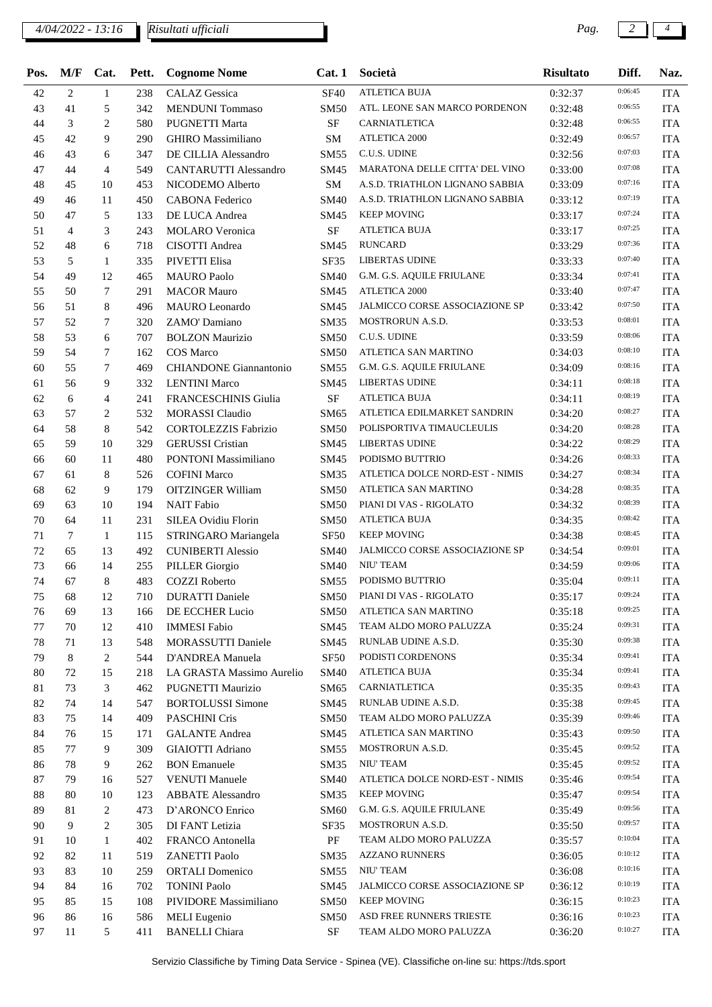## *4/04/2022 - 13:16 Pag. 2 4*

*Risultati ufficiali*

| Pos. | M/F | Cat.           | Pett. | <b>Cognome Nome</b>           | Cat.1            | Società                               | <b>Risultato</b> | Diff.   | Naz.       |
|------|-----|----------------|-------|-------------------------------|------------------|---------------------------------------|------------------|---------|------------|
| 42   | 2   | $\mathbf{1}$   | 238   | <b>CALAZ</b> Gessica          | <b>SF40</b>      | <b>ATLETICA BUJA</b>                  | 0:32:37          | 0:06:45 | <b>ITA</b> |
| 43   | 41  | 5              | 342   | <b>MENDUNI</b> Tommaso        | <b>SM50</b>      | ATL. LEONE SAN MARCO PORDENON         | 0:32:48          | 0:06:55 | <b>ITA</b> |
| 44   | 3   | $\overline{2}$ | 580   | <b>PUGNETTI Marta</b>         | SF               | CARNIATLETICA                         | 0:32:48          | 0:06:55 | <b>ITA</b> |
| 45   | 42  | 9              | 290   | <b>GHIRO</b> Massimiliano     | SM               | ATLETICA 2000                         | 0:32:49          | 0:06:57 | <b>ITA</b> |
| 46   | 43  | 6              | 347   | DE CILLIA Alessandro          | <b>SM55</b>      | C.U.S. UDINE                          | 0:32:56          | 0:07:03 | <b>ITA</b> |
| 47   | 44  | $\overline{4}$ | 549   | <b>CANTARUTTI Alessandro</b>  | SM45             | MARATONA DELLE CITTA' DEL VINO        | 0:33:00          | 0:07:08 | <b>ITA</b> |
| 48   | 45  | 10             | 453   | NICODEMO Alberto              | <b>SM</b>        | A.S.D. TRIATHLON LIGNANO SABBIA       | 0:33:09          | 0:07:16 | <b>ITA</b> |
| 49   | 46  | 11             | 450   | <b>CABONA Federico</b>        | <b>SM40</b>      | A.S.D. TRIATHLON LIGNANO SABBIA       | 0:33:12          | 0:07:19 | <b>ITA</b> |
| 50   | 47  | 5              | 133   | DE LUCA Andrea                | SM45             | <b>KEEP MOVING</b>                    | 0:33:17          | 0:07:24 | <b>ITA</b> |
| 51   | 4   | 3              | 243   | <b>MOLARO</b> Veronica        | SF               | <b>ATLETICA BUJA</b>                  | 0:33:17          | 0:07:25 | <b>ITA</b> |
| 52   | 48  | 6              | 718   | CISOTTI Andrea                | SM45             | <b>RUNCARD</b>                        | 0:33:29          | 0:07:36 | <b>ITA</b> |
| 53   | 5   | 1              | 335   | PIVETTI Elisa                 | SF35             | <b>LIBERTAS UDINE</b>                 | 0:33:33          | 0:07:40 | <b>ITA</b> |
| 54   | 49  | 12             | 465   | <b>MAURO</b> Paolo            | <b>SM40</b>      | G.M. G.S. AQUILE FRIULANE             | 0:33:34          | 0:07:41 | <b>ITA</b> |
| 55   | 50  | $\tau$         | 291   | <b>MACOR Mauro</b>            | SM45             | <b>ATLETICA 2000</b>                  | 0:33:40          | 0:07:47 | <b>ITA</b> |
| 56   | 51  | 8              | 496   | <b>MAURO</b> Leonardo         | SM45             | <b>JALMICCO CORSE ASSOCIAZIONE SP</b> | 0:33:42          | 0:07:50 | <b>ITA</b> |
| 57   | 52  | 7              | 320   | ZAMO' Damiano                 | <b>SM35</b>      | MOSTRORUN A.S.D.                      | 0:33:53          | 0:08:01 | <b>ITA</b> |
| 58   | 53  | 6              | 707   | <b>BOLZON Maurizio</b>        | <b>SM50</b>      | C.U.S. UDINE                          | 0:33:59          | 0:08:06 | <b>ITA</b> |
| 59   | 54  | $\tau$         | 162   | COS Marco                     | <b>SM50</b>      | ATLETICA SAN MARTINO                  | 0:34:03          | 0:08:10 | <b>ITA</b> |
| 60   | 55  | $\tau$         | 469   | <b>CHIANDONE</b> Giannantonio | <b>SM55</b>      | G.M. G.S. AQUILE FRIULANE             | 0:34:09          | 0:08:16 | <b>ITA</b> |
| 61   | 56  | 9              | 332   | <b>LENTINI</b> Marco          | SM45             | <b>LIBERTAS UDINE</b>                 | 0:34:11          | 0:08:18 | <b>ITA</b> |
| 62   | 6   | $\overline{4}$ | 241   | <b>FRANCESCHINIS Giulia</b>   | <b>SF</b>        | <b>ATLETICA BUJA</b>                  | 0:34:11          | 0:08:19 | <b>ITA</b> |
| 63   | 57  | 2              | 532   | <b>MORASSI</b> Claudio        | SM65             | ATLETICA EDILMARKET SANDRIN           | 0:34:20          | 0:08:27 | <b>ITA</b> |
| 64   | 58  | 8              | 542   | <b>CORTOLEZZIS Fabrizio</b>   | <b>SM50</b>      | POLISPORTIVA TIMAUCLEULIS             | 0:34:20          | 0:08:28 | <b>ITA</b> |
| 65   | 59  | 10             | 329   | <b>GERUSSI</b> Cristian       | SM45             | <b>LIBERTAS UDINE</b>                 | 0:34:22          | 0:08:29 | <b>ITA</b> |
| 66   | 60  | 11             | 480   | <b>PONTONI</b> Massimiliano   | SM45             | PODISMO BUTTRIO                       | 0:34:26          | 0:08:33 | <b>ITA</b> |
| 67   | 61  | 8              | 526   | <b>COFINI Marco</b>           | SM35             | ATLETICA DOLCE NORD-EST - NIMIS       | 0:34:27          | 0:08:34 | <b>ITA</b> |
| 68   | 62  | 9              | 179   | <b>OITZINGER William</b>      | <b>SM50</b>      | ATLETICA SAN MARTINO                  | 0:34:28          | 0:08:35 | <b>ITA</b> |
| 69   | 63  | 10             | 194   | <b>NAIT Fabio</b>             | <b>SM50</b>      | PIANI DI VAS - RIGOLATO               | 0:34:32          | 0:08:39 | <b>ITA</b> |
| 70   | 64  | 11             | 231   | SILEA Ovidiu Florin           | <b>SM50</b>      | <b>ATLETICA BUJA</b>                  | 0:34:35          | 0:08:42 | <b>ITA</b> |
| 71   | 7   | $\mathbf{1}$   | 115   | STRINGARO Mariangela          | SF <sub>50</sub> | <b>KEEP MOVING</b>                    | 0:34:38          | 0:08:45 | <b>ITA</b> |
| 72   | 65  | 13             | 492   | <b>CUNIBERTI Alessio</b>      | <b>SM40</b>      | JALMICCO CORSE ASSOCIAZIONE SP        | 0:34:54          | 0:09:01 | <b>ITA</b> |
| 73   | 66  | 14             | 255   | <b>PILLER</b> Giorgio         | <b>SM40</b>      | NIU' TEAM                             | 0:34:59          | 0:09:06 | <b>ITA</b> |
| 74   | 67  | 8              | 483   | <b>COZZI</b> Roberto          | SM55             | PODISMO BUTTRIO                       | 0:35:04          | 0:09:11 | <b>ITA</b> |
| 75   | 68  | 12             |       | 710 DURATTI Daniele           | SM50             | PIANI DI VAS - RIGOLATO               | 0:35:17          | 0:09:24 | <b>ITA</b> |
| 76   | 69  | 13             | 166   | DE ECCHER Lucio               | <b>SM50</b>      | ATLETICA SAN MARTINO                  | 0:35:18          | 0:09:25 | <b>ITA</b> |
| 77   | 70  | 12             | 410   | <b>IMMESI Fabio</b>           | SM45             | TEAM ALDO MORO PALUZZA                | 0:35:24          | 0:09:31 | <b>ITA</b> |
| 78   | 71  | 13             | 548   | <b>MORASSUTTI Daniele</b>     | SM45             | RUNLAB UDINE A.S.D.                   | 0:35:30          | 0:09:38 | <b>ITA</b> |
| 79   | 8   | 2              | 544   | D'ANDREA Manuela              | SF <sub>50</sub> | PODISTI CORDENONS                     | 0:35:34          | 0:09:41 | <b>ITA</b> |
| 80   | 72  | 15             | 218   | LA GRASTA Massimo Aurelio     | <b>SM40</b>      | <b>ATLETICA BUJA</b>                  | 0:35:34          | 0:09:41 | <b>ITA</b> |
| 81   | 73  | 3              | 462   | PUGNETTI Maurizio             | SM65             | CARNIATLETICA                         | 0:35:35          | 0:09:43 | <b>ITA</b> |
| 82   | 74  | 14             | 547   | <b>BORTOLUSSI</b> Simone      | SM45             | RUNLAB UDINE A.S.D.                   | 0:35:38          | 0:09:45 | <b>ITA</b> |
| 83   | 75  | 14             | 409   | PASCHINI Cris                 | <b>SM50</b>      | TEAM ALDO MORO PALUZZA                | 0:35:39          | 0:09:46 | <b>ITA</b> |
| 84   | 76  | 15             | 171   | <b>GALANTE</b> Andrea         | SM45             | ATLETICA SAN MARTINO                  | 0:35:43          | 0:09:50 | <b>ITA</b> |
| 85   | 77  | 9              | 309   | GIAIOTTI Adriano              | SM55             | MOSTRORUN A.S.D.                      | 0:35:45          | 0:09:52 | <b>ITA</b> |
| 86   | 78  | 9              | 262   | <b>BON</b> Emanuele           | SM35             | NIU' TEAM                             | 0:35:45          | 0:09:52 | <b>ITA</b> |
| 87   | 79  | 16             | 527   | <b>VENUTI Manuele</b>         | <b>SM40</b>      | ATLETICA DOLCE NORD-EST - NIMIS       | 0:35:46          | 0:09:54 | <b>ITA</b> |
| 88   | 80  | 10             | 123   | <b>ABBATE</b> Alessandro      | SM35             | <b>KEEP MOVING</b>                    | 0:35:47          | 0:09:54 | <b>ITA</b> |
| 89   | 81  | 2              | 473   | D'ARONCO Enrico               | <b>SM60</b>      | G.M. G.S. AQUILE FRIULANE             | 0:35:49          | 0:09:56 | <b>ITA</b> |
| 90   | 9   | $\overline{2}$ | 305   | DI FANT Letizia               | SF35             | MOSTRORUN A.S.D.                      | 0:35:50          | 0:09:57 | <b>ITA</b> |
| 91   | 10  | $\mathbf{1}$   | 402   | <b>FRANCO</b> Antonella       | PF               | TEAM ALDO MORO PALUZZA                | 0:35:57          | 0:10:04 | <b>ITA</b> |
| 92   | 82  | 11             | 519   | <b>ZANETTI Paolo</b>          | SM35             | <b>AZZANO RUNNERS</b>                 | 0:36:05          | 0:10:12 | <b>ITA</b> |
| 93   | 83  | 10             | 259   | <b>ORTALI</b> Domenico        | SM55             | NIU' TEAM                             | 0:36:08          | 0:10:16 | <b>ITA</b> |
| 94   | 84  | 16             | 702   | <b>TONINI Paolo</b>           | SM45             | JALMICCO CORSE ASSOCIAZIONE SP        | 0:36:12          | 0:10:19 | <b>ITA</b> |
| 95   | 85  | 15             | 108   | PIVIDORE Massimiliano         | <b>SM50</b>      | <b>KEEP MOVING</b>                    | 0:36:15          | 0:10:23 | <b>ITA</b> |
| 96   | 86  | 16             | 586   | <b>MELI</b> Eugenio           | SM50             | ASD FREE RUNNERS TRIESTE              | 0:36:16          | 0:10:23 | <b>ITA</b> |
| 97   | 11  | 5              | 411   | <b>BANELLI</b> Chiara         | $\rm SF$         | TEAM ALDO MORO PALUZZA                | 0:36:20          | 0:10:27 | <b>ITA</b> |
|      |     |                |       |                               |                  |                                       |                  |         |            |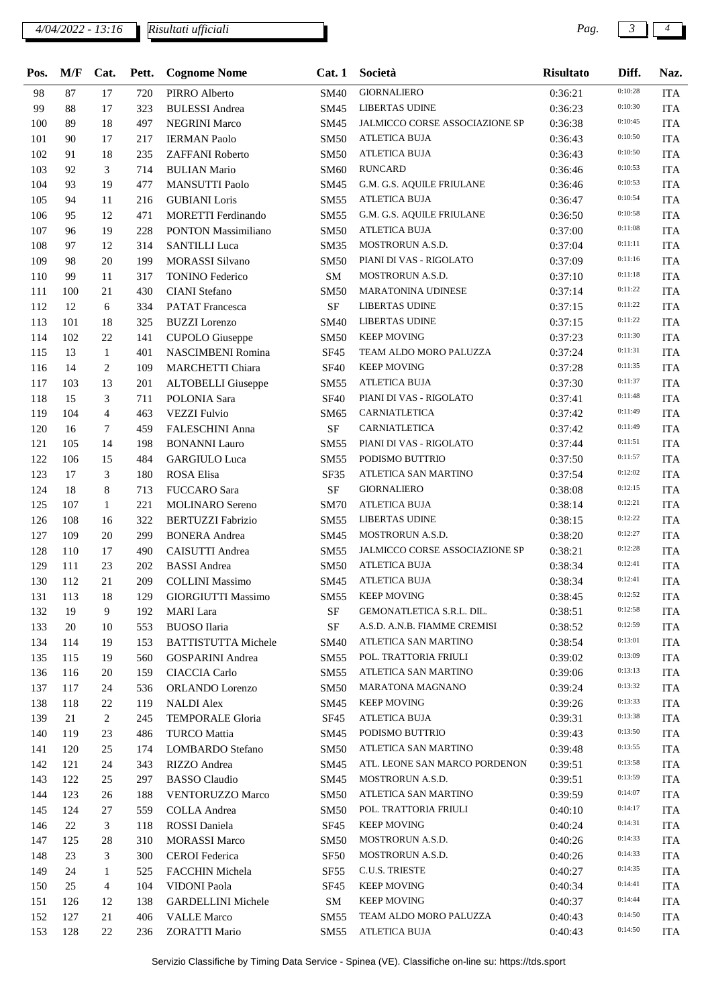## *4/04/2022 - 13:16 Pag. 3 4*

*Risultati ufficiali*

| Pos. | M/F | Cat.           | Pett. | <b>Cognome Nome</b>        | Cat.1            | Società                                       | <b>Risultato</b> | Diff.   | Naz.       |
|------|-----|----------------|-------|----------------------------|------------------|-----------------------------------------------|------------------|---------|------------|
| 98   | 87  | 17             | 720   | PIRRO Alberto              | <b>SM40</b>      | <b>GIORNALIERO</b>                            | 0:36:21          | 0:10:28 | <b>ITA</b> |
| 99   | 88  | 17             | 323   | <b>BULESSI</b> Andrea      | SM45             | <b>LIBERTAS UDINE</b>                         | 0:36:23          | 0:10:30 | <b>ITA</b> |
| 100  | 89  | 18             | 497   | <b>NEGRINI Marco</b>       | SM45             | JALMICCO CORSE ASSOCIAZIONE SP                | 0:36:38          | 0:10:45 | <b>ITA</b> |
| 101  | 90  | 17             | 217   | <b>IERMAN Paolo</b>        | <b>SM50</b>      | <b>ATLETICA BUJA</b>                          | 0:36:43          | 0:10:50 | <b>ITA</b> |
| 102  | 91  | 18             | 235   | ZAFFANI Roberto            | <b>SM50</b>      | <b>ATLETICA BUJA</b>                          | 0:36:43          | 0:10:50 | <b>ITA</b> |
| 103  | 92  | 3              | 714   | <b>BULIAN Mario</b>        | <b>SM60</b>      | <b>RUNCARD</b>                                | 0:36:46          | 0:10:53 | <b>ITA</b> |
| 104  | 93  | 19             | 477   | <b>MANSUTTI Paolo</b>      | SM45             | G.M. G.S. AQUILE FRIULANE                     | 0:36:46          | 0:10:53 | <b>ITA</b> |
| 105  | 94  | 11             | 216   | <b>GUBIANI</b> Loris       | SM55             | <b>ATLETICA BUJA</b>                          | 0:36:47          | 0:10:54 | <b>ITA</b> |
| 106  | 95  | 12             | 471   | <b>MORETTI</b> Ferdinando  | SM55             | G.M. G.S. AQUILE FRIULANE                     | 0:36:50          | 0:10:58 | <b>ITA</b> |
| 107  | 96  | 19             | 228   | <b>PONTON Massimiliano</b> | <b>SM50</b>      | <b>ATLETICA BUJA</b>                          | 0:37:00          | 0:11:08 | <b>ITA</b> |
| 108  | 97  | 12             | 314   | <b>SANTILLI Luca</b>       | SM35             | <b>MOSTRORUN A.S.D.</b>                       | 0:37:04          | 0:11:11 | <b>ITA</b> |
| 109  | 98  | 20             | 199   | <b>MORASSI Silvano</b>     | <b>SM50</b>      | PIANI DI VAS - RIGOLATO                       | 0:37:09          | 0:11:16 | <b>ITA</b> |
| 110  | 99  | 11             | 317   | <b>TONINO Federico</b>     | SM               | MOSTRORUN A.S.D.                              | 0:37:10          | 0:11:18 | <b>ITA</b> |
| 111  | 100 | 21             | 430   | <b>CIANI</b> Stefano       | <b>SM50</b>      | <b>MARATONINA UDINESE</b>                     | 0:37:14          | 0:11:22 | <b>ITA</b> |
| 112  | 12  | 6              | 334   | <b>PATAT</b> Francesca     | <b>SF</b>        | <b>LIBERTAS UDINE</b>                         | 0:37:15          | 0:11:22 | <b>ITA</b> |
| 113  | 101 | 18             | 325   | <b>BUZZI</b> Lorenzo       | <b>SM40</b>      | <b>LIBERTAS UDINE</b>                         | 0:37:15          | 0:11:22 | <b>ITA</b> |
| 114  | 102 | 22             | 141   | <b>CUPOLO</b> Giuseppe     | SM50             | <b>KEEP MOVING</b>                            | 0:37:23          | 0:11:30 | <b>ITA</b> |
| 115  | 13  | $\mathbf{1}$   | 401   | <b>NASCIMBENI Romina</b>   | <b>SF45</b>      | TEAM ALDO MORO PALUZZA                        | 0:37:24          | 0:11:31 | <b>ITA</b> |
| 116  | 14  | $\overline{c}$ | 109   | MARCHETTI Chiara           | <b>SF40</b>      | <b>KEEP MOVING</b>                            | 0:37:28          | 0:11:35 | <b>ITA</b> |
| 117  | 103 | 13             | 201   | <b>ALTOBELLI</b> Giuseppe  | <b>SM55</b>      | <b>ATLETICA BUJA</b>                          | 0:37:30          | 0:11:37 | <b>ITA</b> |
| 118  | 15  | 3              | 711   | POLONIA Sara               | <b>SF40</b>      | PIANI DI VAS - RIGOLATO                       | 0:37:41          | 0:11:48 | <b>ITA</b> |
| 119  | 104 | $\overline{4}$ | 463   | <b>VEZZI Fulvio</b>        | SM65             | CARNIATLETICA                                 | 0:37:42          | 0:11:49 | <b>ITA</b> |
| 120  | 16  | 7              | 459   | <b>FALESCHINI Anna</b>     | $\rm SF$         | CARNIATLETICA                                 | 0:37:42          | 0:11:49 | <b>ITA</b> |
| 121  | 105 | 14             | 198   | <b>BONANNI</b> Lauro       | <b>SM55</b>      | PIANI DI VAS - RIGOLATO                       | 0:37:44          | 0:11:51 | <b>ITA</b> |
| 122  | 106 | 15             | 484   | <b>GARGIULO Luca</b>       | SM55             | PODISMO BUTTRIO                               | 0:37:50          | 0:11:57 | <b>ITA</b> |
| 123  | 17  | 3              | 180   | ROSA Elisa                 | SF35             | ATLETICA SAN MARTINO                          | 0:37:54          | 0:12:02 | <b>ITA</b> |
| 124  | 18  | 8              | 713   | <b>FUCCARO</b> Sara        | $\rm SF$         | <b>GIORNALIERO</b>                            |                  | 0:12:15 | <b>ITA</b> |
| 125  | 107 | $\mathbf{1}$   | 221   |                            | <b>SM70</b>      | <b>ATLETICA BUJA</b>                          | 0:38:08          | 0:12:21 | <b>ITA</b> |
| 126  | 108 | 16             | 322   | <b>MOLINARO</b> Sereno     | SM55             | <b>LIBERTAS UDINE</b>                         | 0:38:14          | 0:12:22 | <b>ITA</b> |
|      |     |                |       | <b>BERTUZZI Fabrizio</b>   |                  | MOSTRORUN A.S.D.                              | 0:38:15          | 0:12:27 |            |
| 127  | 109 | 20             | 299   | <b>BONERA</b> Andrea       | SM45             | JALMICCO CORSE ASSOCIAZIONE SP                | 0:38:20          | 0:12:28 | <b>ITA</b> |
| 128  | 110 | 17             | 490   | CAISUTTI Andrea            | SM55             | <b>ATLETICA BUJA</b>                          | 0:38:21          | 0:12:41 | <b>ITA</b> |
| 129  | 111 | 23             | 202   | <b>BASSI</b> Andrea        | <b>SM50</b>      | <b>ATLETICA BUJA</b>                          | 0:38:34          | 0:12:41 | <b>ITA</b> |
| 130  | 112 | 21             | 209   | <b>COLLINI</b> Massimo     | SM45             |                                               | 0:38:34          | 0:12:52 | <b>ITA</b> |
| 131  | 113 | 18             |       | 129 GIORGIUTTI Massimo     |                  | SM55 KEEP MOVING<br>GEMONATLETICA S.R.L. DIL. | 0:38:45          | 0:12:58 | <b>ITA</b> |
| 132  | 19  | 9              | 192   | <b>MARI</b> Lara           | SF               |                                               | 0:38:51          | 0:12:59 | ITA        |
| 133  | 20  | 10             | 553   | BUOSO Ilaria               | $\rm{SF}$        | A.S.D. A.N.B. FIAMME CREMISI                  | 0:38:52          | 0:13:01 | <b>ITA</b> |
| 134  | 114 | 19             | 153   | <b>BATTISTUTTA Michele</b> | SM40             | ATLETICA SAN MARTINO                          | 0:38:54          | 0:13:09 | <b>ITA</b> |
| 135  | 115 | 19             | 560   | <b>GOSPARINI</b> Andrea    | SM55             | POL. TRATTORIA FRIULI                         | 0:39:02          | 0:13:13 | <b>ITA</b> |
| 136  | 116 | 20             | 159   | CIACCIA Carlo              | SM55             | ATLETICA SAN MARTINO                          | 0:39:06          | 0:13:32 | <b>ITA</b> |
| 137  | 117 | 24             | 536   | ORLANDO Lorenzo            | <b>SM50</b>      | <b>MARATONA MAGNANO</b>                       | 0:39:24          | 0:13:33 | <b>ITA</b> |
| 138  | 118 | 22             | 119   | <b>NALDI</b> Alex          | SM45             | <b>KEEP MOVING</b>                            | 0:39:26          | 0:13:38 | <b>ITA</b> |
| 139  | 21  | $\overline{c}$ | 245   | <b>TEMPORALE Gloria</b>    | SF45             | <b>ATLETICA BUJA</b>                          | 0:39:31          | 0:13:50 | <b>ITA</b> |
| 140  | 119 | 23             | 486   | <b>TURCO</b> Mattia        | SM45             | PODISMO BUTTRIO                               | 0:39:43          | 0:13:55 | <b>ITA</b> |
| 141  | 120 | 25             | 174   | LOMBARDO Stefano           | <b>SM50</b>      | ATLETICA SAN MARTINO                          | 0:39:48          |         | <b>ITA</b> |
| 142  | 121 | 24             | 343   | RIZZO Andrea               | SM45             | ATL. LEONE SAN MARCO PORDENON                 | 0:39:51          | 0:13:58 | <b>ITA</b> |
| 143  | 122 | 25             | 297   | <b>BASSO</b> Claudio       | SM45             | MOSTRORUN A.S.D.                              | 0:39:51          | 0:13:59 | ITA        |
| 144  | 123 | 26             | 188   | VENTORUZZO Marco           | <b>SM50</b>      | ATLETICA SAN MARTINO                          | 0:39:59          | 0:14:07 | <b>ITA</b> |
| 145  | 124 | 27             | 559   | <b>COLLA</b> Andrea        | <b>SM50</b>      | POL. TRATTORIA FRIULI                         | 0:40:10          | 0:14:17 | <b>ITA</b> |
| 146  | 22  | 3              | 118   | ROSSI Daniela              | SF45             | <b>KEEP MOVING</b>                            | 0:40:24          | 0:14:31 | <b>ITA</b> |
| 147  | 125 | 28             | 310   | <b>MORASSI Marco</b>       | <b>SM50</b>      | MOSTRORUN A.S.D.                              | 0:40:26          | 0:14:33 | <b>ITA</b> |
| 148  | 23  | 3              | 300   | <b>CEROI</b> Federica      | SF50             | MOSTRORUN A.S.D.                              | 0:40:26          | 0:14:33 | <b>ITA</b> |
| 149  | 24  | $\mathbf{1}$   | 525   | FACCHIN Michela            | SF <sub>55</sub> | C.U.S. TRIESTE                                | 0:40:27          | 0:14:35 | <b>ITA</b> |
| 150  | 25  | 4              | 104   | VIDONI Paola               | SF45             | <b>KEEP MOVING</b>                            | 0:40:34          | 0:14:41 | <b>ITA</b> |
| 151  | 126 | 12             | 138   | <b>GARDELLINI</b> Michele  | SM               | <b>KEEP MOVING</b>                            | 0:40:37          | 0:14:44 | <b>ITA</b> |
| 152  | 127 | 21             | 406   | <b>VALLE Marco</b>         | SM55             | TEAM ALDO MORO PALUZZA                        | 0:40:43          | 0:14:50 | <b>ITA</b> |
| 153  | 128 | 22             | 236   | <b>ZORATTI Mario</b>       | SM55             | ATLETICA BUJA                                 | 0:40:43          | 0:14:50 | <b>ITA</b> |